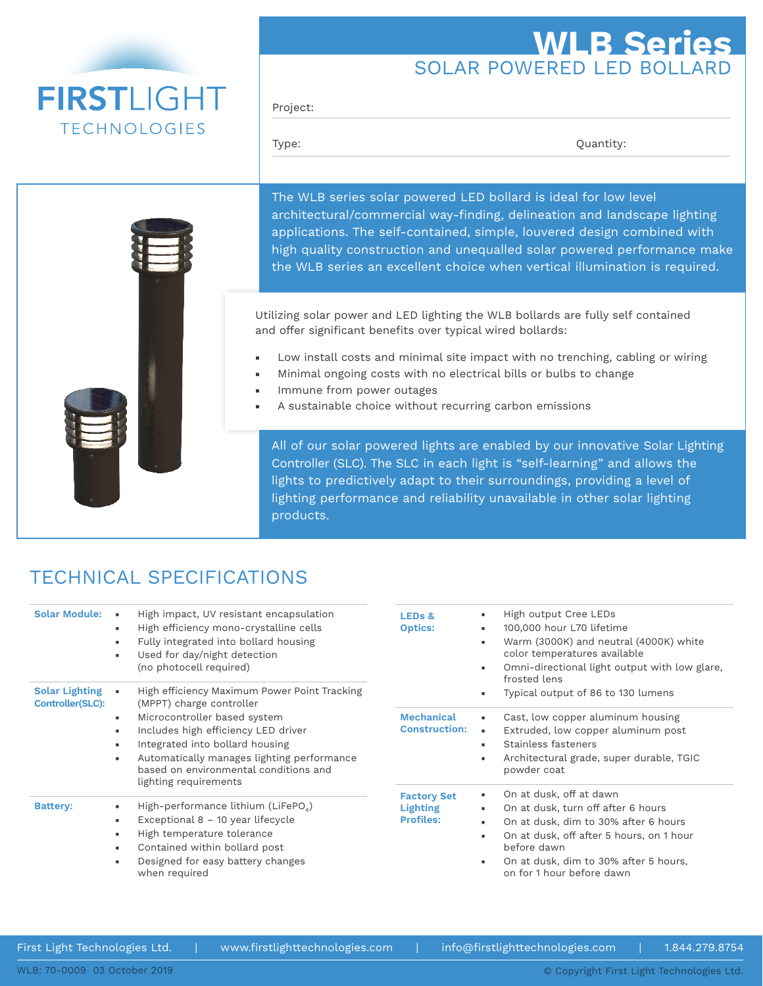# **FIRSTLIGHT TECHNOLOGIES**

## SOLAR POWERED LED BOLLARD **WLB Series**

Project:

Type:  $Q$ uantity:

The WLB series solar powered LED bollard is ideal for low level architectural/commercial way-finding, delineation and landscape lighting applications. The self-contained, simple, louvered design combined with high quality construction and unequalled solar powered performance make the WLB series an excellent choice when vertical illumination is required.

Utilizing solar power and LED lighting the WLB bollards are fully self contained and offer significant benefits over typical wired bollards:

- Low install costs and minimal site impact with no trenching, cabling or wiring
- Minimal ongoing costs with no electrical bills or bulbs to change
- Immune from power outages
- A sustainable choice without recurring carbon emissions

All of our solar powered lights are enabled by our innovative Solar Lighting Controller (SLC). The SLC in each light is "self-learning" and allows the lights to predictively adapt to their surroundings, providing a level of lighting performance and reliability unavailable in other solar lighting products.

### TECHNICAL SPECIFICATIONS

| <b>Solar Module:</b>                      | High impact, UV resistant encapsulation<br>×.<br>High efficiency mono-crystalline cells<br>۰.<br>Fully integrated into bollard housing<br>$\blacksquare$<br>Used for day/night detection<br>$\blacksquare$<br>(no photocell required)                          | <b>LEDs &amp;</b><br><b>Optics:</b>                       | High output Cree LEDs<br>100,000 hour L70 lifetime<br>۰.<br>Warm (3000K) and neutral (4000K) white<br>color temperatures available<br>Omni-directional light output with low glare,<br>frosted lens                                         |  |
|-------------------------------------------|----------------------------------------------------------------------------------------------------------------------------------------------------------------------------------------------------------------------------------------------------------------|-----------------------------------------------------------|---------------------------------------------------------------------------------------------------------------------------------------------------------------------------------------------------------------------------------------------|--|
| <b>Solar Lighting</b><br>Controller(SLC): | High efficiency Maximum Power Point Tracking<br>$\alpha$<br>(MPPT) charge controller                                                                                                                                                                           |                                                           | Typical output of 86 to 130 lumens                                                                                                                                                                                                          |  |
|                                           | Microcontroller based system<br>۰.<br>Includes high efficiency LED driver<br>$\blacksquare$<br>Integrated into bollard housing<br>٠<br>Automatically manages lighting performance<br>٠<br>based on environmental conditions and<br>lighting requirements       | <b>Mechanical</b><br><b>Construction:</b>                 | Cast, low copper aluminum housing<br>٠.<br>Extruded, low copper aluminum post<br>٠<br>Stainless fasteners<br>٠.<br>Architectural grade, super durable, TGIC<br>٠<br>powder coat                                                             |  |
| <b>Battery:</b>                           | High-performance lithium (LiFePO <sub>4</sub> )<br>٠<br>Exceptional $8 - 10$ year lifecycle<br>٠<br>High temperature tolerance<br>$\blacksquare$<br>Contained within bollard post<br>$\blacksquare$<br>Designed for easy battery changes<br>٠<br>when required | <b>Factory Set</b><br><b>Lighting</b><br><b>Profiles:</b> | On at dusk, off at dawn<br>On at dusk, turn off after 6 hours<br>٠<br>On at dusk, dim to 30% after 6 hours<br>On at dusk, off after 5 hours, on 1 hour<br>before dawn<br>On at dusk, dim to 30% after 5 hours,<br>on for 1 hour before dawn |  |

First Light Technologies Ltd. | www.firstlighttechnologies.com | info@firstlighttechnologies.com | 1.844.279.8754